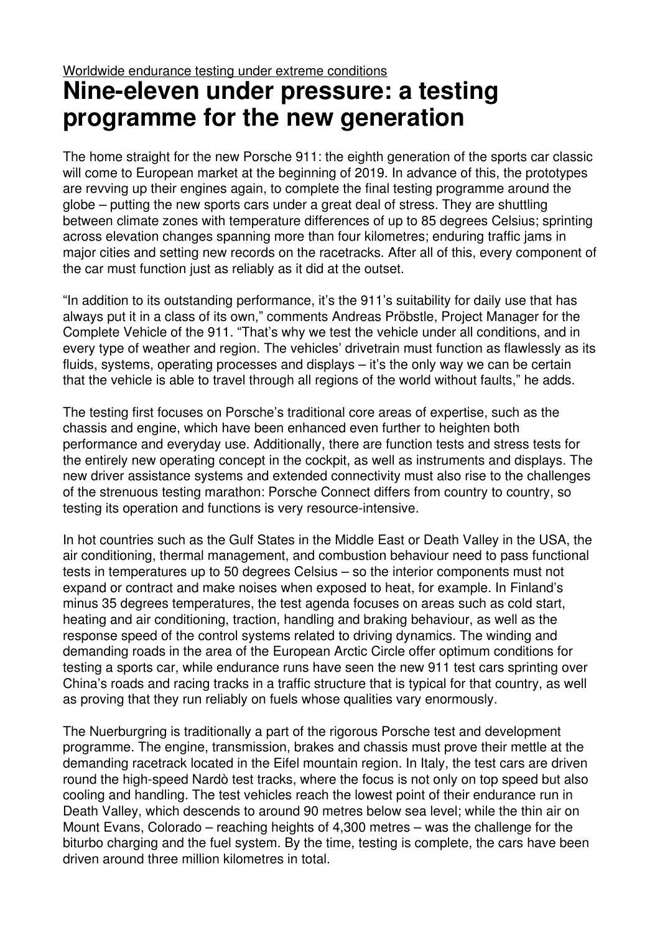## **Nine-eleven under pressure: a testing programme for the new generation**

The home straight for the new Porsche 911: the eighth generation of the sports car classic will come to European market at the beginning of 2019. In advance of this, the prototypes are revving up their engines again, to complete the final testing programme around the globe – putting the new sports cars under a great deal of stress. They are shuttling between climate zones with temperature differences of up to 85 degrees Celsius; sprinting across elevation changes spanning more than four kilometres; enduring traffic jams in major cities and setting new records on the racetracks. After all of this, every component of the car must function just as reliably as it did at the outset.

"In addition to its outstanding performance, it's the 911's suitability for daily use that has always put it in a class of its own," comments Andreas Pröbstle, Project Manager for the Complete Vehicle of the 911. "That's why we test the vehicle under all conditions, and in every type of weather and region. The vehicles' drivetrain must function as flawlessly as its fluids, systems, operating processes and displays – it's the only way we can be certain that the vehicle is able to travel through all regions of the world without faults," he adds.

The testing first focuses on Porsche's traditional core areas of expertise, such as the chassis and engine, which have been enhanced even further to heighten both performance and everyday use. Additionally, there are function tests and stress tests for the entirely new operating concept in the cockpit, as well as instruments and displays. The new driver assistance systems and extended connectivity must also rise to the challenges of the strenuous testing marathon: Porsche Connect differs from country to country, so testing its operation and functions is very resource-intensive.

In hot countries such as the Gulf States in the Middle East or Death Valley in the USA, the air conditioning, thermal management, and combustion behaviour need to pass functional tests in temperatures up to 50 degrees Celsius – so the interior components must not expand or contract and make noises when exposed to heat, for example. In Finland's minus 35 degrees temperatures, the test agenda focuses on areas such as cold start, heating and air conditioning, traction, handling and braking behaviour, as well as the response speed of the control systems related to driving dynamics. The winding and demanding roads in the area of the European Arctic Circle offer optimum conditions for testing a sports car, while endurance runs have seen the new 911 test cars sprinting over China's roads and racing tracks in a traffic structure that is typical for that country, as well as proving that they run reliably on fuels whose qualities vary enormously.

The Nuerburgring is traditionally a part of the rigorous Porsche test and development programme. The engine, transmission, brakes and chassis must prove their mettle at the demanding racetrack located in the Eifel mountain region. In Italy, the test cars are driven round the high-speed Nardò test tracks, where the focus is not only on top speed but also cooling and handling. The test vehicles reach the lowest point of their endurance run in Death Valley, which descends to around 90 metres below sea level; while the thin air on Mount Evans, Colorado – reaching heights of 4,300 metres – was the challenge for the biturbo charging and the fuel system. By the time, testing is complete, the cars have been driven around three million kilometres in total.